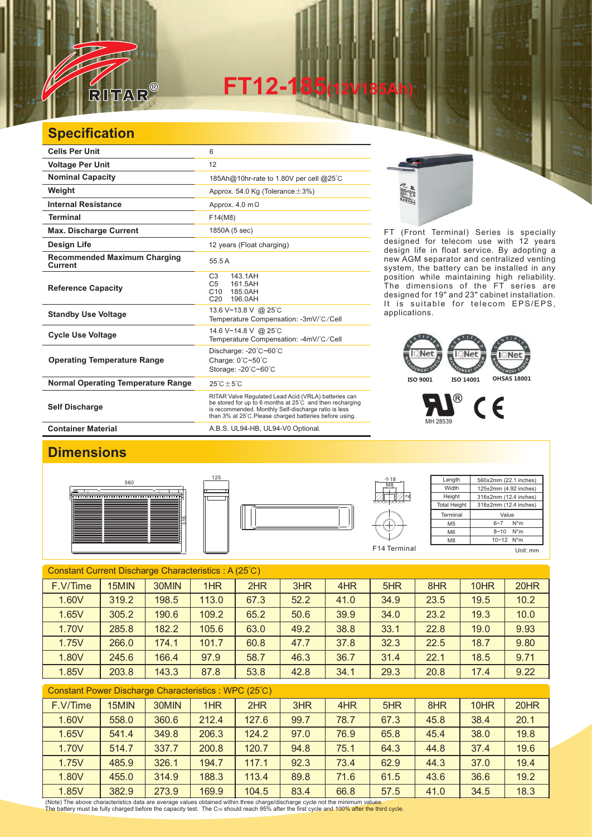

**FT12-185(12V185Ah)** 

## **Specification**

| <b>Cells Per Unit</b>                          | 6                                                                                                                                                                                                                                   |
|------------------------------------------------|-------------------------------------------------------------------------------------------------------------------------------------------------------------------------------------------------------------------------------------|
| <b>Voltage Per Unit</b>                        | 12                                                                                                                                                                                                                                  |
| <b>Nominal Capacity</b>                        | 185Ah@10hr-rate to 1.80V per cell @25°C                                                                                                                                                                                             |
| Weight                                         | Approx. 54.0 Kg (Tolerance $\pm$ 3%)                                                                                                                                                                                                |
| <b>Internal Resistance</b>                     | Approx. $4.0 \text{ m}\Omega$                                                                                                                                                                                                       |
| <b>Terminal</b>                                | F14(M8)                                                                                                                                                                                                                             |
| <b>Max. Discharge Current</b>                  | 1850A (5 sec)                                                                                                                                                                                                                       |
| Design Life                                    | 12 years (Float charging)                                                                                                                                                                                                           |
| <b>Recommended Maximum Charging</b><br>Current | 55.5 A                                                                                                                                                                                                                              |
| <b>Reference Capacity</b>                      | C <sub>3</sub><br>143.1AH<br>C <sub>5</sub><br>161.5AH<br>C10<br>185.0AH<br>C <sub>20</sub><br>196.0AH                                                                                                                              |
| <b>Standby Use Voltage</b>                     | 13.6 V~13.8 V @ 25°C<br>Temperature Compensation: -3mV/°C/Cell                                                                                                                                                                      |
| <b>Cycle Use Voltage</b>                       | 14.6 V~14.8 V @ 25°C<br>Temperature Compensation: -4mV/°C/Cell                                                                                                                                                                      |
| <b>Operating Temperature Range</b>             | Discharge: -20°C~60°C<br>Charge: 0°C~50°C<br>Storage: -20°C~60°C                                                                                                                                                                    |
| <b>Normal Operating Temperature Range</b>      | $25^{\circ}$ C + 5 $^{\circ}$ C                                                                                                                                                                                                     |
| <b>Self Discharge</b>                          | RITAR Valve Regulated Lead Acid (VRLA) batteries can<br>be stored for up to 6 months at 25°C and then recharging<br>is recommended. Monthly Self-discharge ratio is less<br>than 3% at 25°C. Please charged batteries before using. |
| <b>Container Material</b>                      | A.B.S. UL94-HB, UL94-V0 Optional.                                                                                                                                                                                                   |

125

E.

FT (Front Terminal) Series is specially designed for telecom use with 12 years design life in float service. By adopting a new AGM separator and centralized venting system, the battery can be installed in any position while maintaining high reliability. The dimensions of the FT series are designed for 19" and 23" cabinet installation. It is suitable for telecom EPS/EPS, applications.

## **ISO 9001 ISO 14001 OHSAS 18001**

 $^{\circledR}$  $\epsilon$ MH 28539

## **Dimensions**







| $\Phi$ 18      | Length              | 560±2mm (22.1 inches) |
|----------------|---------------------|-----------------------|
| M <sub>8</sub> | Width               | 125±2mm (4.92 inches) |
|                | Height              | 316±2mm (12.4 inches) |
|                | <b>Total Height</b> | 316±2mm (12.4 inches) |
|                | Terminal            | Value                 |
|                | M <sub>5</sub>      | $N^*m$<br>$6 - 7$     |
|                | M <sub>6</sub>      | $N^*m$<br>$8 - 10$    |
|                | M <sub>8</sub>      | 10~12 N*m             |
| F14 Terminal   |                     | Unit: mm              |

Constant Current Discharge Characteristics : A (25℃) F.V/Time | 15MIN | 30MIN | 1HR | 2HR | 3HR | 4HR | 5HR | 8HR | 10HR | 20HR 1.60V | 319.2 | 198.5 | 113.0 | 67.3 | 52.2 | 41.0 | 34.9 | 23.5 | 19.5 | 10.2 1.65V | 305.2 | 190.6 | 109.2 | 65.2 | 50.6 | 39.9 | 34.0 | 23.2 | 19.3 | 10.0 1.70V | 285.8 | 182.2 | 105.6 | 63.0 | 49.2 | 38.8 | 33.1 | 22.8 | 19.0 | 9.93 1.75V | 266.0 | 174.1 | 101.7 | 60.8 | 47.7 | 37.8 | 32.3 | 22.5 | 18.7 | 9.80 1.80V | 245.6 | 166.4 | 97.9 | 58.7 | 46.3 | 36.7 | 31.4 | 22.1 | 18.5 | 9.71 1.85V 203.8 143.3 87.8 53.8 42.8 34.1 29.3 20.8 17.4 9.22

| Constant Power Discharge Characteristics : WPC (25°C) |       |       |       |       |      |      |      |      |      |      |
|-------------------------------------------------------|-------|-------|-------|-------|------|------|------|------|------|------|
| F.V/Time                                              | 15MIN | 30MIN | 1HR   | 2HR   | 3HR  | 4HR  | 5HR  | 8HR  | 10HR | 20HR |
| 1.60V                                                 | 558.0 | 360.6 | 212.4 | 127.6 | 99.7 | 78.7 | 67.3 | 45.8 | 38.4 | 20.1 |
| 1.65V                                                 | 541.4 | 349.8 | 206.3 | 124.2 | 97.0 | 76.9 | 65.8 | 45.4 | 38.0 | 19.8 |
| 1.70V                                                 | 514.7 | 337.7 | 200.8 | 120.7 | 94.8 | 75.1 | 64.3 | 44.8 | 37.4 | 19.6 |
| 1.75V                                                 | 485.9 | 326.1 | 194.7 | 117.1 | 92.3 | 73.4 | 62.9 | 44.3 | 37.0 | 19.4 |
| 1.80V                                                 | 455.0 | 314.9 | 188.3 | 113.4 | 89.8 | 71.6 | 61.5 | 43.6 | 36.6 | 19.2 |
| 1.85V                                                 | 382.9 | 273.9 | 169.9 | 104.5 | 83.4 | 66.8 | 57.5 | 41.0 | 34.5 | 18.3 |

(Note) The above characteristics data are average values obtained within three charge/discharge cycle not the minimum values.<br>The battery must be fully charged before the capacity test. The Cю should reach 95% after the f